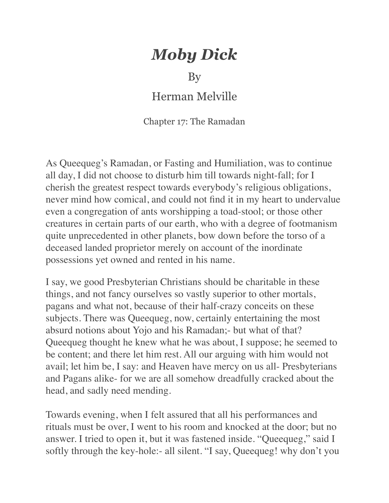## *Moby Dick*

By

Herman Melville

Chapter 17: The Ramadan

As Queequeg's Ramadan, or Fasting and Humiliation, was to continue all day, I did not choose to disturb him till towards night-fall; for I cherish the greatest respect towards everybody's religious obligations, never mind how comical, and could not find it in my heart to undervalue even a congregation of ants worshipping a toad-stool; or those other creatures in certain parts of our earth, who with a degree of footmanism quite unprecedented in other planets, bow down before the torso of a deceased landed proprietor merely on account of the inordinate possessions yet owned and rented in his name.

I say, we good Presbyterian Christians should be charitable in these things, and not fancy ourselves so vastly superior to other mortals, pagans and what not, because of their half-crazy conceits on these subjects. There was Queequeg, now, certainly entertaining the most absurd notions about Yojo and his Ramadan;- but what of that? Queequeg thought he knew what he was about, I suppose; he seemed to be content; and there let him rest. All our arguing with him would not avail; let him be, I say: and Heaven have mercy on us all- Presbyterians and Pagans alike- for we are all somehow dreadfully cracked about the head, and sadly need mending.

Towards evening, when I felt assured that all his performances and rituals must be over, I went to his room and knocked at the door; but no answer. I tried to open it, but it was fastened inside. "Queequeg," said I softly through the key-hole:- all silent. "I say, Queequeg! why don't you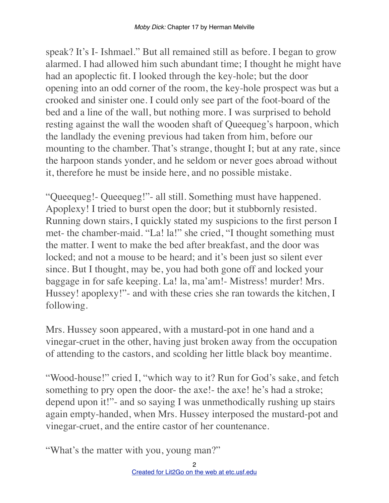speak? It's I- Ishmael." But all remained still as before. I began to grow alarmed. I had allowed him such abundant time; I thought he might have had an apoplectic fit. I looked through the key-hole; but the door opening into an odd corner of the room, the key-hole prospect was but a crooked and sinister one. I could only see part of the foot-board of the bed and a line of the wall, but nothing more. I was surprised to behold resting against the wall the wooden shaft of Queequeg's harpoon, which the landlady the evening previous had taken from him, before our mounting to the chamber. That's strange, thought I; but at any rate, since the harpoon stands yonder, and he seldom or never goes abroad without it, therefore he must be inside here, and no possible mistake.

"Queequeg!- Queequeg!"- all still. Something must have happened. Apoplexy! I tried to burst open the door; but it stubbornly resisted. Running down stairs, I quickly stated my suspicions to the first person I met- the chamber-maid. "La! la!" she cried, "I thought something must the matter. I went to make the bed after breakfast, and the door was locked; and not a mouse to be heard; and it's been just so silent ever since. But I thought, may be, you had both gone off and locked your baggage in for safe keeping. La! la, ma'am!- Mistress! murder! Mrs. Hussey! apoplexy!"- and with these cries she ran towards the kitchen, I following.

Mrs. Hussey soon appeared, with a mustard-pot in one hand and a vinegar-cruet in the other, having just broken away from the occupation of attending to the castors, and scolding her little black boy meantime.

"Wood-house!" cried I, "which way to it? Run for God's sake, and fetch something to pry open the door- the axe!- the axe! he's had a stroke; depend upon it!"- and so saying I was unmethodically rushing up stairs again empty-handed, when Mrs. Hussey interposed the mustard-pot and vinegar-cruet, and the entire castor of her countenance.

"What's the matter with you, young man?"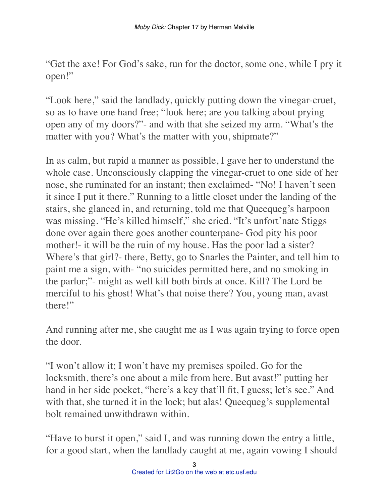"Get the axe! For God's sake, run for the doctor, some one, while I pry it open!"

"Look here," said the landlady, quickly putting down the vinegar-cruet, so as to have one hand free; "look here; are you talking about prying open any of my doors?"- and with that she seized my arm. "What's the matter with you? What's the matter with you, shipmate?"

In as calm, but rapid a manner as possible, I gave her to understand the whole case. Unconsciously clapping the vinegar-cruet to one side of her nose, she ruminated for an instant; then exclaimed- "No! I haven't seen it since I put it there." Running to a little closet under the landing of the stairs, she glanced in, and returning, told me that Queequeg's harpoon was missing. "He's killed himself," she cried. "It's unfort'nate Stiggs done over again there goes another counterpane- God pity his poor mother!- it will be the ruin of my house. Has the poor lad a sister? Where's that girl?- there, Betty, go to Snarles the Painter, and tell him to paint me a sign, with- "no suicides permitted here, and no smoking in the parlor;"- might as well kill both birds at once. Kill? The Lord be merciful to his ghost! What's that noise there? You, young man, avast there!"

And running after me, she caught me as I was again trying to force open the door.

"I won't allow it; I won't have my premises spoiled. Go for the locksmith, there's one about a mile from here. But avast!" putting her hand in her side pocket, "here's a key that'll fit, I guess; let's see." And with that, she turned it in the lock; but alas! Queequeg's supplemental bolt remained unwithdrawn within.

"Have to burst it open," said I, and was running down the entry a little, for a good start, when the landlady caught at me, again vowing I should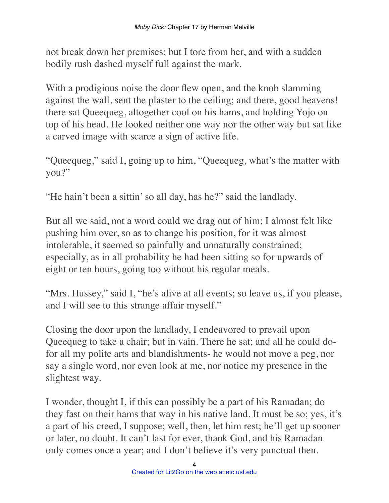not break down her premises; but I tore from her, and with a sudden bodily rush dashed myself full against the mark.

With a prodigious noise the door flew open, and the knob slamming against the wall, sent the plaster to the ceiling; and there, good heavens! there sat Queequeg, altogether cool on his hams, and holding Yojo on top of his head. He looked neither one way nor the other way but sat like a carved image with scarce a sign of active life.

"Queequeg," said I, going up to him, "Queequeg, what's the matter with you?"

"He hain't been a sittin' so all day, has he?" said the landlady.

But all we said, not a word could we drag out of him; I almost felt like pushing him over, so as to change his position, for it was almost intolerable, it seemed so painfully and unnaturally constrained; especially, as in all probability he had been sitting so for upwards of eight or ten hours, going too without his regular meals.

"Mrs. Hussey," said I, "he's alive at all events; so leave us, if you please, and I will see to this strange affair myself."

Closing the door upon the landlady, I endeavored to prevail upon Queequeg to take a chair; but in vain. There he sat; and all he could dofor all my polite arts and blandishments- he would not move a peg, nor say a single word, nor even look at me, nor notice my presence in the slightest way.

I wonder, thought I, if this can possibly be a part of his Ramadan; do they fast on their hams that way in his native land. It must be so; yes, it's a part of his creed, I suppose; well, then, let him rest; he'll get up sooner or later, no doubt. It can't last for ever, thank God, and his Ramadan only comes once a year; and I don't believe it's very punctual then.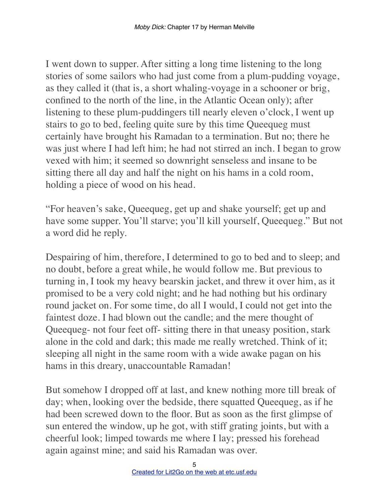I went down to supper. After sitting a long time listening to the long stories of some sailors who had just come from a plum-pudding voyage, as they called it (that is, a short whaling-voyage in a schooner or brig, confined to the north of the line, in the Atlantic Ocean only); after listening to these plum-puddingers till nearly eleven o'clock, I went up stairs to go to bed, feeling quite sure by this time Queequeg must certainly have brought his Ramadan to a termination. But no; there he was just where I had left him; he had not stirred an inch. I began to grow vexed with him; it seemed so downright senseless and insane to be sitting there all day and half the night on his hams in a cold room, holding a piece of wood on his head.

"For heaven's sake, Queequeg, get up and shake yourself; get up and have some supper. You'll starve; you'll kill yourself, Queequeg." But not a word did he reply.

Despairing of him, therefore, I determined to go to bed and to sleep; and no doubt, before a great while, he would follow me. But previous to turning in, I took my heavy bearskin jacket, and threw it over him, as it promised to be a very cold night; and he had nothing but his ordinary round jacket on. For some time, do all I would, I could not get into the faintest doze. I had blown out the candle; and the mere thought of Queequeg- not four feet off- sitting there in that uneasy position, stark alone in the cold and dark; this made me really wretched. Think of it; sleeping all night in the same room with a wide awake pagan on his hams in this dreary, unaccountable Ramadan!

But somehow I dropped off at last, and knew nothing more till break of day; when, looking over the bedside, there squatted Queequeg, as if he had been screwed down to the floor. But as soon as the first glimpse of sun entered the window, up he got, with stiff grating joints, but with a cheerful look; limped towards me where I lay; pressed his forehead again against mine; and said his Ramadan was over.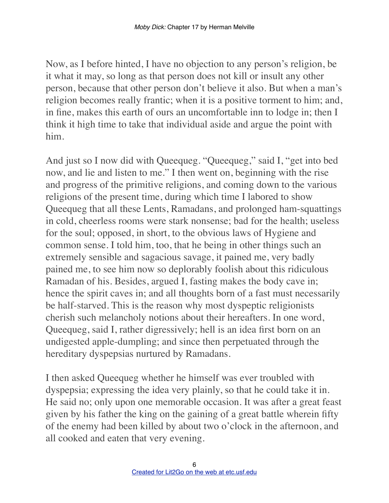Now, as I before hinted, I have no objection to any person's religion, be it what it may, so long as that person does not kill or insult any other person, because that other person don't believe it also. But when a man's religion becomes really frantic; when it is a positive torment to him; and, in fine, makes this earth of ours an uncomfortable inn to lodge in; then I think it high time to take that individual aside and argue the point with him.

And just so I now did with Queequeg. "Queequeg," said I, "get into bed now, and lie and listen to me." I then went on, beginning with the rise and progress of the primitive religions, and coming down to the various religions of the present time, during which time I labored to show Queequeg that all these Lents, Ramadans, and prolonged ham-squattings in cold, cheerless rooms were stark nonsense; bad for the health; useless for the soul; opposed, in short, to the obvious laws of Hygiene and common sense. I told him, too, that he being in other things such an extremely sensible and sagacious savage, it pained me, very badly pained me, to see him now so deplorably foolish about this ridiculous Ramadan of his. Besides, argued I, fasting makes the body cave in; hence the spirit caves in; and all thoughts born of a fast must necessarily be half-starved. This is the reason why most dyspeptic religionists cherish such melancholy notions about their hereafters. In one word, Queequeg, said I, rather digressively; hell is an idea first born on an undigested apple-dumpling; and since then perpetuated through the hereditary dyspepsias nurtured by Ramadans.

I then asked Queequeg whether he himself was ever troubled with dyspepsia; expressing the idea very plainly, so that he could take it in. He said no; only upon one memorable occasion. It was after a great feast given by his father the king on the gaining of a great battle wherein fifty of the enemy had been killed by about two o'clock in the afternoon, and all cooked and eaten that very evening.